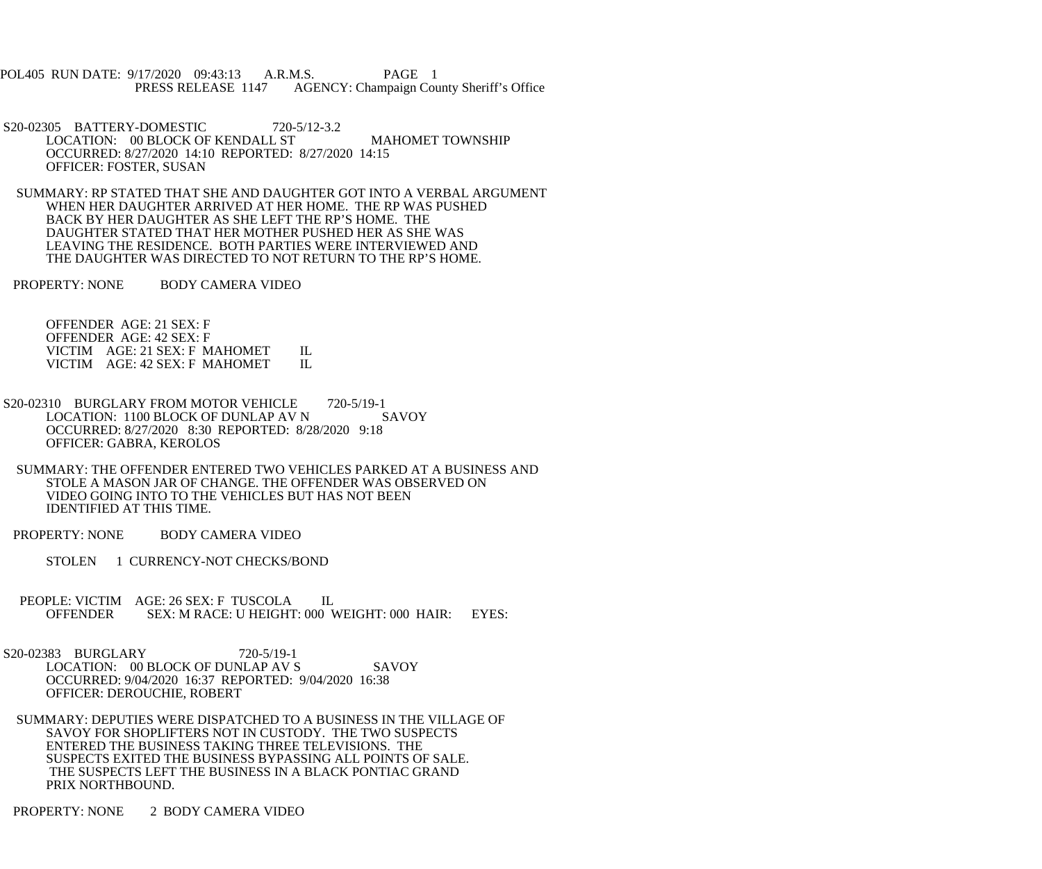POL405 RUN DATE: 9/17/2020 09:43:13 A.R.M.S. PAGE 1<br>PRESS RELEASE 1147 AGENCY: Champaign Cou AGENCY: Champaign County Sheriff's Office

 S20-02305 BATTERY-DOMESTIC 720-5/12-3.2 LOCATION: 00 BLOCK OF KENDALL ST MAHOMET TOWNSHIP OCCURRED: 8/27/2020 14:10 REPORTED: 8/27/2020 14:15 OFFICER: FOSTER, SUSAN

 SUMMARY: RP STATED THAT SHE AND DAUGHTER GOT INTO A VERBAL ARGUMENT WHEN HER DAUGHTER ARRIVED AT HER HOME. THE RP WAS PUSHED BACK BY HER DAUGHTER AS SHE LEFT THE RP'S HOME. THE DAUGHTER STATED THAT HER MOTHER PUSHED HER AS SHE WAS LEAVING THE RESIDENCE. BOTH PARTIES WERE INTERVIEWED AND THE DAUGHTER WAS DIRECTED TO NOT RETURN TO THE RP'S HOME.

PROPERTY: NONE BODY CAMERA VIDEO

 OFFENDER AGE: 21 SEX: F OFFENDER AGE: 42 SEX: F VICTIM AGE: 21 SEX: F MAHOMET IL VICTIM AGE: 42 SEX: F MAHOMET IL

- S20-02310 BURGLARY FROM MOTOR VEHICLE 720-5/19-1 LOCATION: 1100 BLOCK OF DUNLAP AV N SAVOY OCCURRED: 8/27/2020 8:30 REPORTED: 8/28/2020 9:18 OFFICER: GABRA, KEROLOS
- SUMMARY: THE OFFENDER ENTERED TWO VEHICLES PARKED AT A BUSINESS AND STOLE A MASON JAR OF CHANGE. THE OFFENDER WAS OBSERVED ON VIDEO GOING INTO TO THE VEHICLES BUT HAS NOT BEEN IDENTIFIED AT THIS TIME.
- PROPERTY: NONE BODY CAMERA VIDEO

STOLEN 1 CURRENCY-NOT CHECKS/BOND

PEOPLE: VICTIM AGE: 26 SEX: F TUSCOLA IL<br>OFFENDER SEX: M RACE: U HEIGHT: 000 V SEX: M RACE: U HEIGHT: 000 WEIGHT: 000 HAIR: EYES:

 S20-02383 BURGLARY 720-5/19-1 LOCATION: 00 BLOCK OF DUNLAP AV S SAVOY OCCURRED: 9/04/2020 16:37 REPORTED: 9/04/2020 16:38 OFFICER: DEROUCHIE, ROBERT

 SUMMARY: DEPUTIES WERE DISPATCHED TO A BUSINESS IN THE VILLAGE OF SAVOY FOR SHOPLIFTERS NOT IN CUSTODY. THE TWO SUSPECTS ENTERED THE BUSINESS TAKING THREE TELEVISIONS. THE SUSPECTS EXITED THE BUSINESS BYPASSING ALL POINTS OF SALE. THE SUSPECTS LEFT THE BUSINESS IN A BLACK PONTIAC GRAND PRIX NORTHBOUND.

PROPERTY: NONE 2 BODY CAMERA VIDEO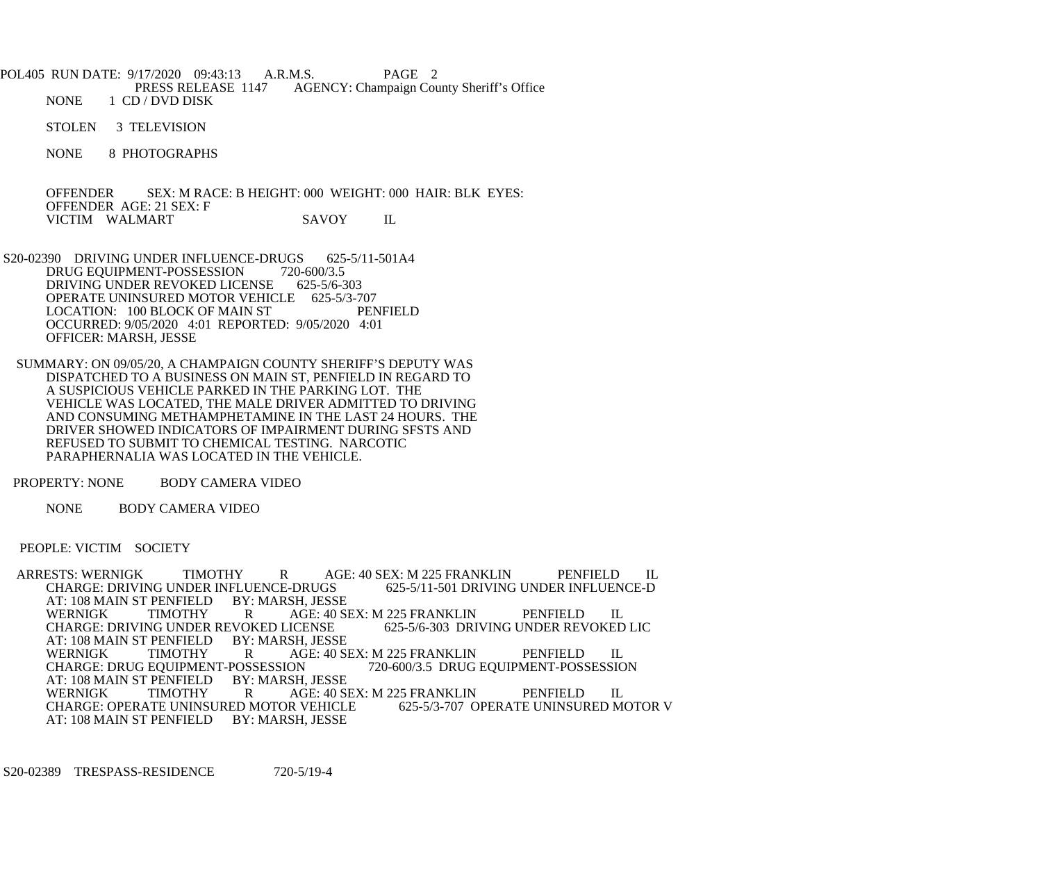POL405 RUN DATE: 9/17/2020 09:43:13 A.R.M.S. PAGE 2<br>PRESS RELEASE 1147 AGENCY: Champaign Cou PRESS RELEASE 1147 AGENCY: Champaign County Sheriff's Office<br>NONE 1 CD / DVD DISK 1 CD / DVD DISK

STOLEN 3 TELEVISION

NONE 8 PHOTOGRAPHS

 OFFENDER SEX: M RACE: B HEIGHT: 000 WEIGHT: 000 HAIR: BLK EYES: OFFENDER AGE: 21 SEX: F VICTIM WALMART SAVOY IL

- S20-02390 DRIVING UNDER INFLUENCE-DRUGS 625-5/11-501A4<br>DRUG EOUIPMENT-POSSESSION 720-600/3.5 DRUG EQUIPMENT-POSSESSION 720-600/3.5<br>DRIVING UNDER REVOKED LICENSE 625-5/6-303 DRIVING UNDER REVOKED LICENSE OPERATE UNINSURED MOTOR VEHICLE 625-5/3-707<br>LOCATION: 100 BLOCK OF MAIN ST PENFIELD LOCATION: 100 BLOCK OF MAIN ST OCCURRED: 9/05/2020 4:01 REPORTED: 9/05/2020 4:01 OFFICER: MARSH, JESSE
- SUMMARY: ON 09/05/20, A CHAMPAIGN COUNTY SHERIFF'S DEPUTY WAS DISPATCHED TO A BUSINESS ON MAIN ST, PENFIELD IN REGARD TO A SUSPICIOUS VEHICLE PARKED IN THE PARKING LOT. THE VEHICLE WAS LOCATED, THE MALE DRIVER ADMITTED TO DRIVING AND CONSUMING METHAMPHETAMINE IN THE LAST 24 HOURS. THE DRIVER SHOWED INDICATORS OF IMPAIRMENT DURING SFSTS AND REFUSED TO SUBMIT TO CHEMICAL TESTING. NARCOTIC PARAPHERNALIA WAS LOCATED IN THE VEHICLE.

PROPERTY: NONE BODY CAMERA VIDEO

NONE BODY CAMERA VIDEO

PEOPLE: VICTIM SOCIETY

ARRESTS: WERNIGK TIMOTHY R AGE: 40 SEX: M 225 FRANKLIN PENFIELD IL<br>CHARGE: DRIVING UNDER INFLUENCE-DRUGS 625-5/11-501 DRIVING UNDER INFLUENCE-D CHARGE: DRIVING UNDER INFLUENCE-DRUGS<br>AT: 108 MAIN ST PENFIELD BY: MARSH, JESSE AT: 108 MAIN ST PENFIELD BY:<br>WERNIGK TIMOTHY R AGE: 40 SEX: M 225 FRANKLIN PENFIELD IL<br>ICENSE 625-5/6-303 DRIVING UNDER REVOKED LIC CHARGE: DRIVING UNDER REVOKED LICENSE<br>AT: 108 MAIN ST PENFIELD BY: MARSH, JESSE AT: 108 MAIN ST PENFIELD BY:<br>WERNIGK TIMOTHY R WERNIGK TIMOTHY R AGE: 40 SEX: M 225 FRANKLIN PENFIELD IL CHARGE: DRUG EQUIPMENT-POSSESSIC POSSESSION 720-600/3.5 DRUG EQUIPMENT-POSSESSION<br>BY: MARSH. JESSE AT: 108 MAIN ST PÈNFIELD BY:<br>WERNIGK TIMOTHY R AGE: 40 SEX: M 225 FRANKLIN PENFIELD IL<br>R VEHICLE 625-5/3-707 OPERATE UNINSURED MOTOR V CHARGE: OPERATE UNINSURED MOTOR VEHICLE<br>AT: 108 MAIN ST PENFIELD BY: MARSH, JESSE AT: 108 MAIN ST PENFIELD

S20-02389 TRESPASS-RESIDENCE 720-5/19-4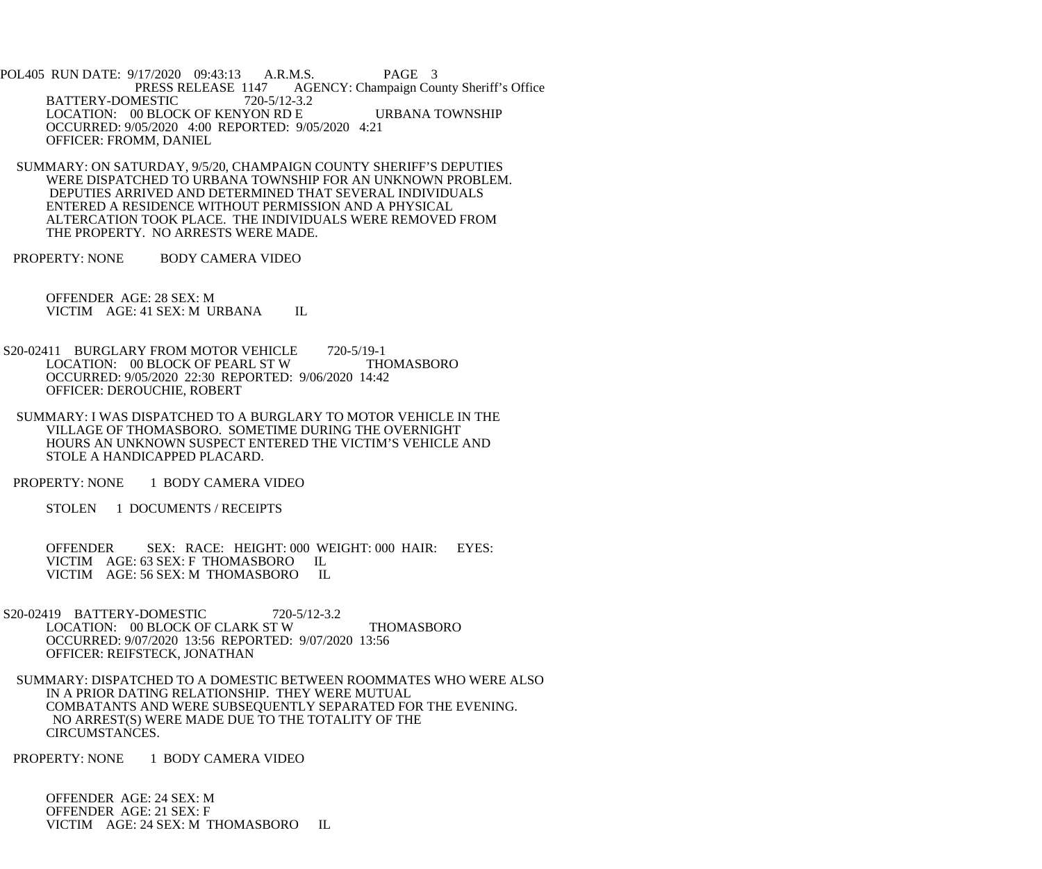POL405 RUN DATE: 9/17/2020 09:43:13 A.R.M.S. PAGE 3<br>PRESS RELEASE 1147 AGENCY: Champaign Cou AGENCY: Champaign County Sheriff's Office BATTERY-DOMESTIC 720-5/12-3.2 LOCATION: 00 BLOCK OF KENYON RD E URBANA TOWNSHIP OCCURRED: 9/05/2020 4:00 REPORTED: 9/05/2020 4:21 OFFICER: FROMM, DANIEL

 SUMMARY: ON SATURDAY, 9/5/20, CHAMPAIGN COUNTY SHERIFF'S DEPUTIES WERE DISPATCHED TO URBANA TOWNSHIP FOR AN UNKNOWN PROBLEM. DEPUTIES ARRIVED AND DETERMINED THAT SEVERAL INDIVIDUALS ENTERED A RESIDENCE WITHOUT PERMISSION AND A PHYSICAL ALTERCATION TOOK PLACE. THE INDIVIDUALS WERE REMOVED FROM THE PROPERTY. NO ARRESTS WERE MADE.

PROPERTY: NONE BODY CAMERA VIDEO

 OFFENDER AGE: 28 SEX: M VICTIM AGE: 41 SEX: M URBANA IL

 S20-02411 BURGLARY FROM MOTOR VEHICLE 720-5/19-1 LOCATION: 00 BLOCK OF PEARL ST W THOMASBORO OCCURRED: 9/05/2020 22:30 REPORTED: 9/06/2020 14:42 OFFICER: DEROUCHIE, ROBERT

 SUMMARY: I WAS DISPATCHED TO A BURGLARY TO MOTOR VEHICLE IN THE VILLAGE OF THOMASBORO. SOMETIME DURING THE OVERNIGHT HOURS AN UNKNOWN SUSPECT ENTERED THE VICTIM'S VEHICLE AND STOLE A HANDICAPPED PLACARD.

PROPERTY: NONE 1 BODY CAMERA VIDEO

STOLEN 1 DOCUMENTS / RECEIPTS

 OFFENDER SEX: RACE: HEIGHT: 000 WEIGHT: 000 HAIR: EYES: VICTIM AGE: 63 SEX: F THOMASBORO IL<br>VICTIM AGE: 56 SEX: M THOMASBORO IL VICTIM AGE: 56 SEX: M THOMASBORO

- S20-02419 BATTERY-DOMESTIC 720-5/12-3.2 LOCATION: 00 BLOCK OF CLARK ST W THOMASBORO OCCURRED: 9/07/2020 13:56 REPORTED: 9/07/2020 13:56 OFFICER: REIFSTECK, JONATHAN
- SUMMARY: DISPATCHED TO A DOMESTIC BETWEEN ROOMMATES WHO WERE ALSO IN A PRIOR DATING RELATIONSHIP. THEY WERE MUTUAL COMBATANTS AND WERE SUBSEQUENTLY SEPARATED FOR THE EVENING. NO ARREST(S) WERE MADE DUE TO THE TOTALITY OF THE CIRCUMSTANCES.

PROPERTY: NONE 1 BODY CAMERA VIDEO

 OFFENDER AGE: 24 SEX: M OFFENDER AGE: 21 SEX: F VICTIM AGE: 24 SEX: M THOMASBORO IL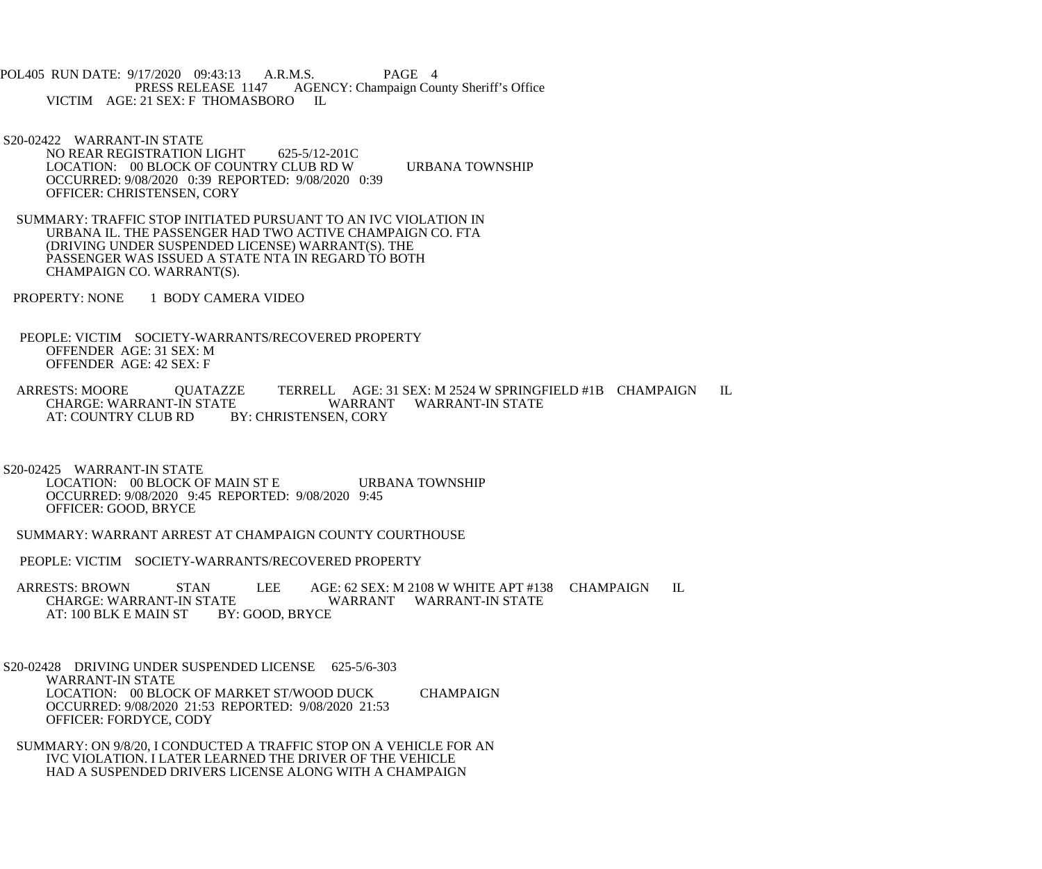POL405 RUN DATE: 9/17/2020 09:43:13 A.R.M.S. PAGE 4<br>PRESS RELEASE 1147 AGENCY: Champaign Cou AGENCY: Champaign County Sheriff's Office VICTIM AGE: 21 SEX: F THOMASBORO IL

- S20-02422 WARRANT-IN STATE NO REAR REGISTRATION LIGHT 625-5/12-201C LOCATION: 00 BLOCK OF COUNTRY CLUB RD W URBANA TOWNSHIP OCCURRED: 9/08/2020 0:39 REPORTED: 9/08/2020 0:39 OFFICER: CHRISTENSEN, CORY
- SUMMARY: TRAFFIC STOP INITIATED PURSUANT TO AN IVC VIOLATION IN URBANA IL. THE PASSENGER HAD TWO ACTIVE CHAMPAIGN CO. FTA (DRIVING UNDER SUSPENDED LICENSE) WARRANT(S). THE PASSENGER WAS ISSUED A STATE NTA IN REGARD TO BOTH CHAMPAIGN CO. WARRANT(S).
- PROPERTY: NONE 1 BODY CAMERA VIDEO
- PEOPLE: VICTIM SOCIETY-WARRANTS/RECOVERED PROPERTY OFFENDER AGE: 31 SEX: M OFFENDER AGE: 42 SEX: F
- ARRESTS: MOORE QUATAZZE TERRELL AGE: 31 SEX: M 2524 W SPRINGFIELD #1B CHAMPAIGN IL CHARGE: WARRANT WARRANT WARRANT-IN STATE CHARGE: WARRANT-IN STATE WARRANT WARRANT-IN STATE<br>AT: COUNTRY CLUB RD BY: CHRISTENSEN, CORY BY: CHRISTENSEN, CORY

S20-02425 WARRANT-IN STATE

LOCATION: 00 BLOCK OF MAIN ST E URBANA TOWNSHIP OCCURRED: 9/08/2020 9:45 REPORTED: 9/08/2020 9:45 OFFICER: GOOD, BRYCE

SUMMARY: WARRANT ARREST AT CHAMPAIGN COUNTY COURTHOUSE

PEOPLE: VICTIM SOCIETY-WARRANTS/RECOVERED PROPERTY

- ARRESTS: BROWN STAN LEE AGE: 62 SEX: M 2108 W WHITE APT #138 CHAMPAIGN IL CHARGE: WARRANT WARRANT WARRANT-IN STATE ATE WARRANT WARRANT-IN STATE<br>BY: GOOD, BRYCE AT: 100 BLK E MAIN ST
- S20-02428 DRIVING UNDER SUSPENDED LICENSE 625-5/6-303 WARRANT-IN STATE LOCATION: 00 BLOCK OF MARKET ST/WOOD DUCK CHAMPAIGN OCCURRED: 9/08/2020 21:53 REPORTED: 9/08/2020 21:53 OFFICER: FORDYCE, CODY
- SUMMARY: ON 9/8/20, I CONDUCTED A TRAFFIC STOP ON A VEHICLE FOR AN IVC VIOLATION. I LATER LEARNED THE DRIVER OF THE VEHICLE HAD A SUSPENDED DRIVERS LICENSE ALONG WITH A CHAMPAIGN